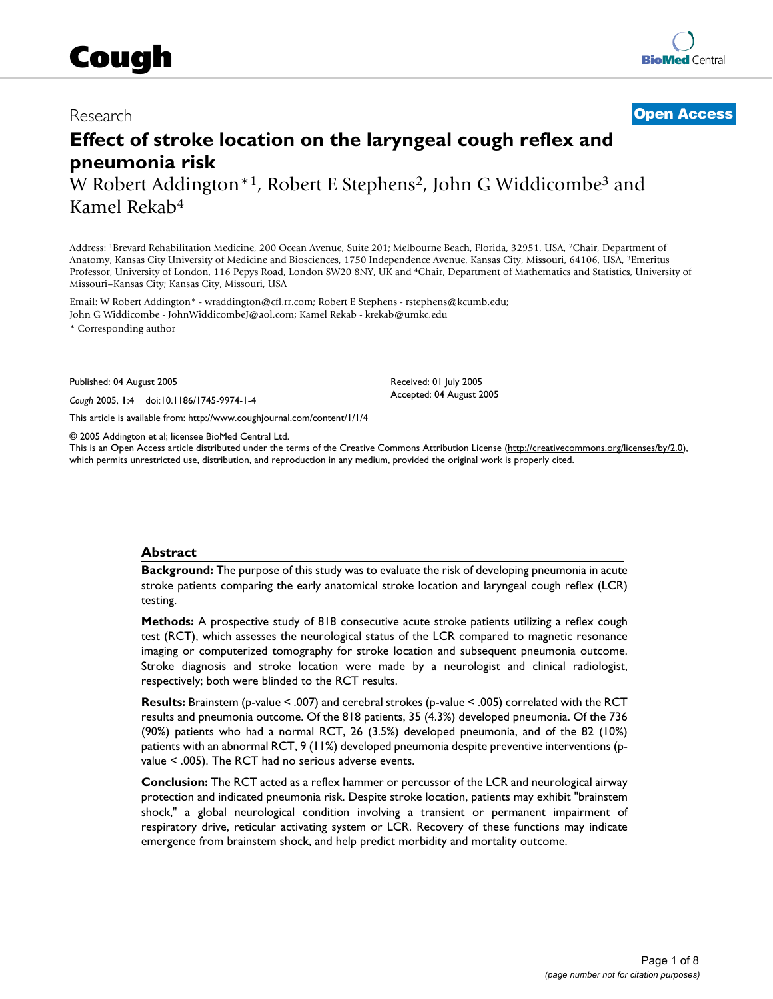# Research **[Open Access](http://www.biomedcentral.com/info/about/charter/)**

# **Effect of stroke location on the laryngeal cough reflex and pneumonia risk**

W Robert Addington<sup>\*1</sup>, Robert E Stephens<sup>2</sup>, John G Widdicombe<sup>3</sup> and Kamel Rekab4

Address: 1Brevard Rehabilitation Medicine, 200 Ocean Avenue, Suite 201; Melbourne Beach, Florida, 32951, USA, 2Chair, Department of Anatomy, Kansas City University of Medicine and Biosciences, 1750 Independence Avenue, Kansas City, Missouri, 64106, USA, 3Emeritus Professor, University of London, 116 Pepys Road, London SW20 8NY, UK and 4Chair, Department of Mathematics and Statistics, University of Missouri–Kansas City; Kansas City, Missouri, USA

Email: W Robert Addington\* - wraddington@cfl.rr.com; Robert E Stephens - rstephens@kcumb.edu; John G Widdicombe - JohnWiddicombeJ@aol.com; Kamel Rekab - krekab@umkc.edu \* Corresponding author

Published: 04 August 2005

*Cough* 2005, **1**:4 doi:10.1186/1745-9974-1-4

[This article is available from: http://www.coughjournal.com/content/1/1/4](http://www.coughjournal.com/content/1/1/4)

© 2005 Addington et al; licensee BioMed Central Ltd.

This is an Open Access article distributed under the terms of the Creative Commons Attribution License [\(http://creativecommons.org/licenses/by/2.0\)](http://creativecommons.org/licenses/by/2.0), which permits unrestricted use, distribution, and reproduction in any medium, provided the original work is properly cited.

Received: 01 July 2005 Accepted: 04 August 2005

#### **Abstract**

**Background:** The purpose of this study was to evaluate the risk of developing pneumonia in acute stroke patients comparing the early anatomical stroke location and laryngeal cough reflex (LCR) testing.

**Methods:** A prospective study of 818 consecutive acute stroke patients utilizing a reflex cough test (RCT), which assesses the neurological status of the LCR compared to magnetic resonance imaging or computerized tomography for stroke location and subsequent pneumonia outcome. Stroke diagnosis and stroke location were made by a neurologist and clinical radiologist, respectively; both were blinded to the RCT results.

**Results:** Brainstem (p-value < .007) and cerebral strokes (p-value < .005) correlated with the RCT results and pneumonia outcome. Of the 818 patients, 35 (4.3%) developed pneumonia. Of the 736 (90%) patients who had a normal RCT, 26 (3.5%) developed pneumonia, and of the 82 (10%) patients with an abnormal RCT, 9 (11%) developed pneumonia despite preventive interventions (pvalue < .005). The RCT had no serious adverse events.

**Conclusion:** The RCT acted as a reflex hammer or percussor of the LCR and neurological airway protection and indicated pneumonia risk. Despite stroke location, patients may exhibit "brainstem shock," a global neurological condition involving a transient or permanent impairment of respiratory drive, reticular activating system or LCR. Recovery of these functions may indicate emergence from brainstem shock, and help predict morbidity and mortality outcome.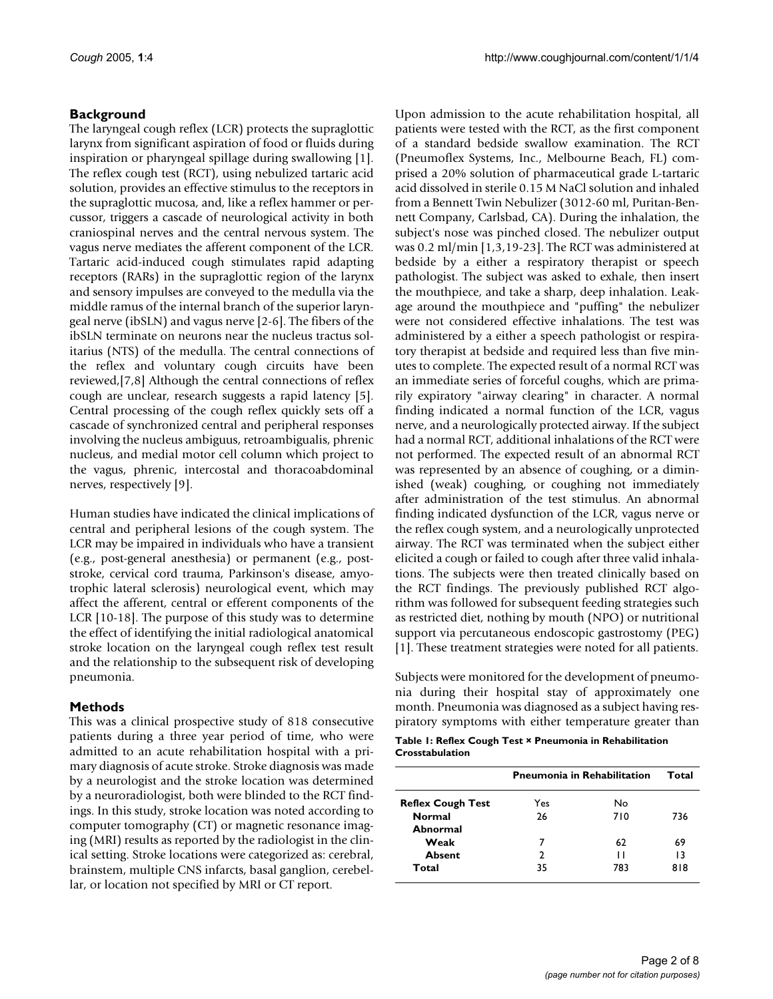# **Background**

The laryngeal cough reflex (LCR) protects the supraglottic larynx from significant aspiration of food or fluids during inspiration or pharyngeal spillage during swallowing [1]. The reflex cough test (RCT), using nebulized tartaric acid solution, provides an effective stimulus to the receptors in the supraglottic mucosa, and, like a reflex hammer or percussor, triggers a cascade of neurological activity in both craniospinal nerves and the central nervous system. The vagus nerve mediates the afferent component of the LCR. Tartaric acid-induced cough stimulates rapid adapting receptors (RARs) in the supraglottic region of the larynx and sensory impulses are conveyed to the medulla via the middle ramus of the internal branch of the superior laryngeal nerve (ibSLN) and vagus nerve [2-6]. The fibers of the ibSLN terminate on neurons near the nucleus tractus solitarius (NTS) of the medulla. The central connections of the reflex and voluntary cough circuits have been reviewed,[7,8] Although the central connections of reflex cough are unclear, research suggests a rapid latency [5]. Central processing of the cough reflex quickly sets off a cascade of synchronized central and peripheral responses involving the nucleus ambiguus, retroambigualis, phrenic nucleus, and medial motor cell column which project to the vagus, phrenic, intercostal and thoracoabdominal nerves, respectively [9].

Human studies have indicated the clinical implications of central and peripheral lesions of the cough system. The LCR may be impaired in individuals who have a transient (e.g., post-general anesthesia) or permanent (e.g., poststroke, cervical cord trauma, Parkinson's disease, amyotrophic lateral sclerosis) neurological event, which may affect the afferent, central or efferent components of the LCR [10-18]. The purpose of this study was to determine the effect of identifying the initial radiological anatomical stroke location on the laryngeal cough reflex test result and the relationship to the subsequent risk of developing pneumonia.

# **Methods**

This was a clinical prospective study of 818 consecutive patients during a three year period of time, who were admitted to an acute rehabilitation hospital with a primary diagnosis of acute stroke. Stroke diagnosis was made by a neurologist and the stroke location was determined by a neuroradiologist, both were blinded to the RCT findings. In this study, stroke location was noted according to computer tomography (CT) or magnetic resonance imaging (MRI) results as reported by the radiologist in the clinical setting. Stroke locations were categorized as: cerebral, brainstem, multiple CNS infarcts, basal ganglion, cerebellar, or location not specified by MRI or CT report.

Upon admission to the acute rehabilitation hospital, all patients were tested with the RCT, as the first component of a standard bedside swallow examination. The RCT (Pneumoflex Systems, Inc., Melbourne Beach, FL) comprised a 20% solution of pharmaceutical grade L-tartaric acid dissolved in sterile 0.15 M NaCl solution and inhaled from a Bennett Twin Nebulizer (3012-60 ml, Puritan-Bennett Company, Carlsbad, CA). During the inhalation, the subject's nose was pinched closed. The nebulizer output was 0.2 ml/min [1,3,19-23]. The RCT was administered at bedside by a either a respiratory therapist or speech pathologist. The subject was asked to exhale, then insert the mouthpiece, and take a sharp, deep inhalation. Leakage around the mouthpiece and "puffing" the nebulizer were not considered effective inhalations. The test was administered by a either a speech pathologist or respiratory therapist at bedside and required less than five minutes to complete. The expected result of a normal RCT was an immediate series of forceful coughs, which are primarily expiratory "airway clearing" in character. A normal finding indicated a normal function of the LCR, vagus nerve, and a neurologically protected airway. If the subject had a normal RCT, additional inhalations of the RCT were not performed. The expected result of an abnormal RCT was represented by an absence of coughing, or a diminished (weak) coughing, or coughing not immediately after administration of the test stimulus. An abnormal finding indicated dysfunction of the LCR, vagus nerve or the reflex cough system, and a neurologically unprotected airway. The RCT was terminated when the subject either elicited a cough or failed to cough after three valid inhalations. The subjects were then treated clinically based on the RCT findings. The previously published RCT algorithm was followed for subsequent feeding strategies such as restricted diet, nothing by mouth (NPO) or nutritional support via percutaneous endoscopic gastrostomy (PEG) [1]. These treatment strategies were noted for all patients.

Subjects were monitored for the development of pneumonia during their hospital stay of approximately one month. Pneumonia was diagnosed as a subject having respiratory symptoms with either temperature greater than

#### **Table 1: Reflex Cough Test × Pneumonia in Rehabilitation Crosstabulation**

|                          | <b>Pneumonia in Rehabilitation</b> | Total |     |
|--------------------------|------------------------------------|-------|-----|
| <b>Reflex Cough Test</b> | Yes                                | No    |     |
| <b>Normal</b>            | 26                                 | 710   | 736 |
| Abnormal                 |                                    |       |     |
| Weak                     | 7                                  | 62    | 69  |
| Absent                   | $\mathcal{P}$                      | п     | 13  |
| Total                    | 35                                 | 783   | 818 |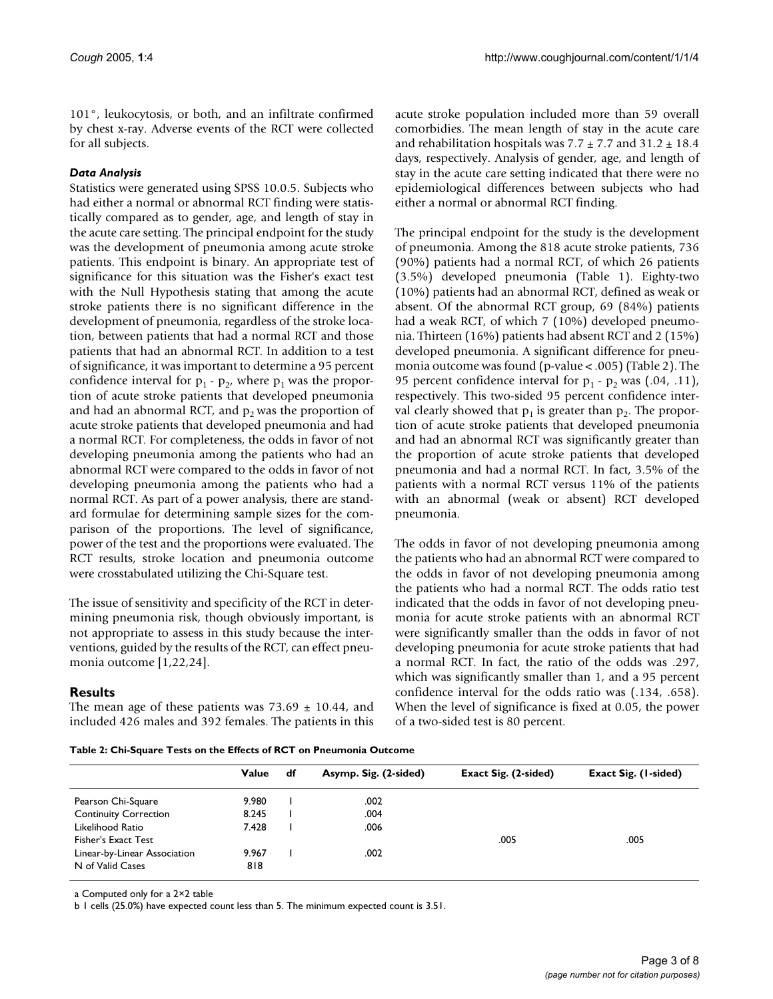101°, leukocytosis, or both, and an infiltrate confirmed by chest x-ray. Adverse events of the RCT were collected for all subjects.

# *Data Analysis*

Statistics were generated using SPSS 10.0.5. Subjects who had either a normal or abnormal RCT finding were statistically compared as to gender, age, and length of stay in the acute care setting. The principal endpoint for the study was the development of pneumonia among acute stroke patients. This endpoint is binary. An appropriate test of significance for this situation was the Fisher's exact test with the Null Hypothesis stating that among the acute stroke patients there is no significant difference in the development of pneumonia, regardless of the stroke location, between patients that had a normal RCT and those patients that had an abnormal RCT. In addition to a test of significance, it was important to determine a 95 percent confidence interval for  $p_1 - p_2$ , where  $p_1$  was the proportion of acute stroke patients that developed pneumonia and had an abnormal RCT, and  $p_2$  was the proportion of acute stroke patients that developed pneumonia and had a normal RCT. For completeness, the odds in favor of not developing pneumonia among the patients who had an abnormal RCT were compared to the odds in favor of not developing pneumonia among the patients who had a normal RCT. As part of a power analysis, there are standard formulae for determining sample sizes for the comparison of the proportions. The level of significance, power of the test and the proportions were evaluated. The RCT results, stroke location and pneumonia outcome were crosstabulated utilizing the Chi-Square test.

The issue of sensitivity and specificity of the RCT in determining pneumonia risk, though obviously important, is not appropriate to assess in this study because the interventions, guided by the results of the RCT, can effect pneumonia outcome [1,22,24].

# **Results**

The mean age of these patients was  $73.69 \pm 10.44$ , and included 426 males and 392 females. The patients in this acute stroke population included more than 59 overall comorbidies. The mean length of stay in the acute care and rehabilitation hospitals was  $7.7 \pm 7.7$  and  $31.2 \pm 18.4$ days, respectively. Analysis of gender, age, and length of stay in the acute care setting indicated that there were no epidemiological differences between subjects who had either a normal or abnormal RCT finding.

The principal endpoint for the study is the development of pneumonia. Among the 818 acute stroke patients, 736 (90%) patients had a normal RCT, of which 26 patients (3.5%) developed pneumonia (Table 1). Eighty-two (10%) patients had an abnormal RCT, defined as weak or absent. Of the abnormal RCT group, 69 (84%) patients had a weak RCT, of which 7 (10%) developed pneumonia. Thirteen (16%) patients had absent RCT and 2 (15%) developed pneumonia. A significant difference for pneumonia outcome was found (p-value < .005) (Table 2). The 95 percent confidence interval for  $p_1 - p_2$  was (.04, .11), respectively. This two-sided 95 percent confidence interval clearly showed that  $p_1$  is greater than  $p_2$ . The proportion of acute stroke patients that developed pneumonia and had an abnormal RCT was significantly greater than the proportion of acute stroke patients that developed pneumonia and had a normal RCT. In fact, 3.5% of the patients with a normal RCT versus 11% of the patients with an abnormal (weak or absent) RCT developed pneumonia.

The odds in favor of not developing pneumonia among the patients who had an abnormal RCT were compared to the odds in favor of not developing pneumonia among the patients who had a normal RCT. The odds ratio test indicated that the odds in favor of not developing pneumonia for acute stroke patients with an abnormal RCT were significantly smaller than the odds in favor of not developing pneumonia for acute stroke patients that had a normal RCT. In fact, the ratio of the odds was .297, which was significantly smaller than 1, and a 95 percent confidence interval for the odds ratio was (.134, .658). When the level of significance is fixed at 0.05, the power of a two-sided test is 80 percent.

| Table 2: Chi-Square Tests on the Effects of RCT on Pneumonia Outcome |  |  |
|----------------------------------------------------------------------|--|--|
|                                                                      |  |  |

|                              | Value | df | Asymp. Sig. (2-sided) | Exact Sig. (2-sided) | Exact Sig. (1-sided) |
|------------------------------|-------|----|-----------------------|----------------------|----------------------|
| Pearson Chi-Square           | 9.980 |    | .002                  |                      |                      |
| <b>Continuity Correction</b> | 8.245 |    | .004                  |                      |                      |
| Likelihood Ratio             | 7.428 |    | .006                  |                      |                      |
| Fisher's Exact Test          |       |    |                       | .005                 | .005                 |
| Linear-by-Linear Association | 9.967 |    | .002                  |                      |                      |
| N of Valid Cases             | 818   |    |                       |                      |                      |

a Computed only for a 2×2 table

b 1 cells (25.0%) have expected count less than 5. The minimum expected count is 3.51.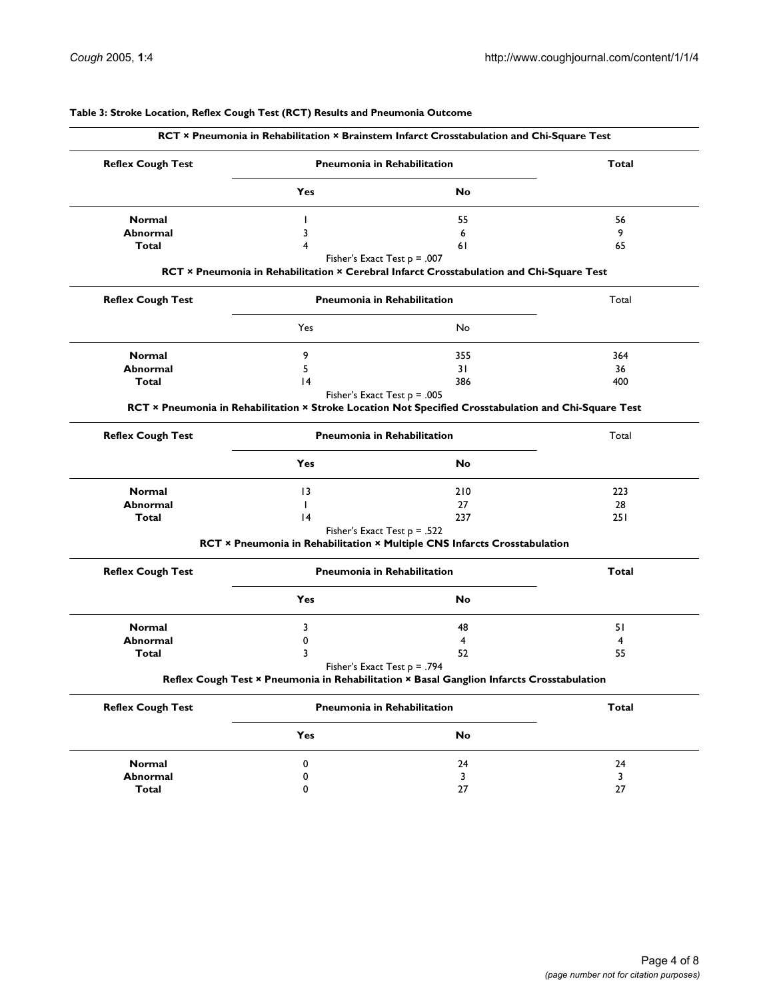| RCT × Pneumonia in Rehabilitation × Brainstem Infarct Crosstabulation and Chi-Square Test |                                    |                                                                                                       |              |  |
|-------------------------------------------------------------------------------------------|------------------------------------|-------------------------------------------------------------------------------------------------------|--------------|--|
| <b>Reflex Cough Test</b>                                                                  | <b>Pneumonia in Rehabilitation</b> | Total                                                                                                 |              |  |
|                                                                                           | <b>Yes</b>                         | <b>No</b>                                                                                             |              |  |
| <b>Normal</b>                                                                             | T                                  | 55                                                                                                    | 56           |  |
| <b>Abnormal</b>                                                                           | 3                                  | 6                                                                                                     | 9            |  |
| Total                                                                                     | 4                                  | 61                                                                                                    | 65           |  |
|                                                                                           | Fisher's Exact Test $p = .007$     | RCT × Pneumonia in Rehabilitation × Cerebral Infarct Crosstabulation and Chi-Square Test              |              |  |
| <b>Reflex Cough Test</b>                                                                  | <b>Pneumonia in Rehabilitation</b> |                                                                                                       | Total        |  |
|                                                                                           | Yes                                | No                                                                                                    |              |  |
|                                                                                           |                                    |                                                                                                       |              |  |
| <b>Normal</b>                                                                             | 9                                  | 355                                                                                                   | 364          |  |
| <b>Abnormal</b>                                                                           | 5                                  | 31                                                                                                    | 36           |  |
| Total                                                                                     | 4                                  | 386                                                                                                   | 400          |  |
|                                                                                           | Fisher's Exact Test $p = .005$     |                                                                                                       |              |  |
|                                                                                           |                                    | RCT × Pneumonia in Rehabilitation × Stroke Location Not Specified Crosstabulation and Chi-Square Test |              |  |
| <b>Reflex Cough Test</b>                                                                  | <b>Pneumonia in Rehabilitation</b> | Total                                                                                                 |              |  |
|                                                                                           | Yes                                | <b>No</b>                                                                                             |              |  |
| <b>Normal</b>                                                                             | 13                                 | 210                                                                                                   | 223          |  |
| Abnormal                                                                                  | T                                  | 27                                                                                                    | 28           |  |
| Total                                                                                     | 4                                  | 237                                                                                                   | 251          |  |
|                                                                                           | Fisher's Exact Test $p = .522$     |                                                                                                       |              |  |
|                                                                                           |                                    | RCT × Pneumonia in Rehabilitation × Multiple CNS Infarcts Crosstabulation                             |              |  |
|                                                                                           | <b>Pneumonia in Rehabilitation</b> |                                                                                                       |              |  |
| <b>Reflex Cough Test</b>                                                                  |                                    |                                                                                                       | Total        |  |
|                                                                                           | Yes                                | <b>No</b>                                                                                             |              |  |
| <b>Normal</b>                                                                             | 3                                  | 48                                                                                                    | 51           |  |
| <b>Abnormal</b>                                                                           | 0                                  | 4                                                                                                     | 4            |  |
| Total                                                                                     | 3                                  | 52                                                                                                    | 55           |  |
|                                                                                           | Fisher's Exact Test $p = .794$     |                                                                                                       |              |  |
|                                                                                           |                                    | Reflex Cough Test × Pneumonia in Rehabilitation × Basal Ganglion Infarcts Crosstabulation             |              |  |
| <b>Reflex Cough Test</b>                                                                  | Pneumonia in Rehabilitation        |                                                                                                       | <b>Total</b> |  |
|                                                                                           | Yes                                | No                                                                                                    |              |  |
| <b>Normal</b>                                                                             | 0                                  | 24                                                                                                    | 24           |  |
| Abnormal                                                                                  | 0                                  | 3                                                                                                     | 3            |  |

# <span id="page-3-0"></span>**Table 3: Stroke Location, Reflex Cough Test (RCT) Results and Pneumonia Outcome**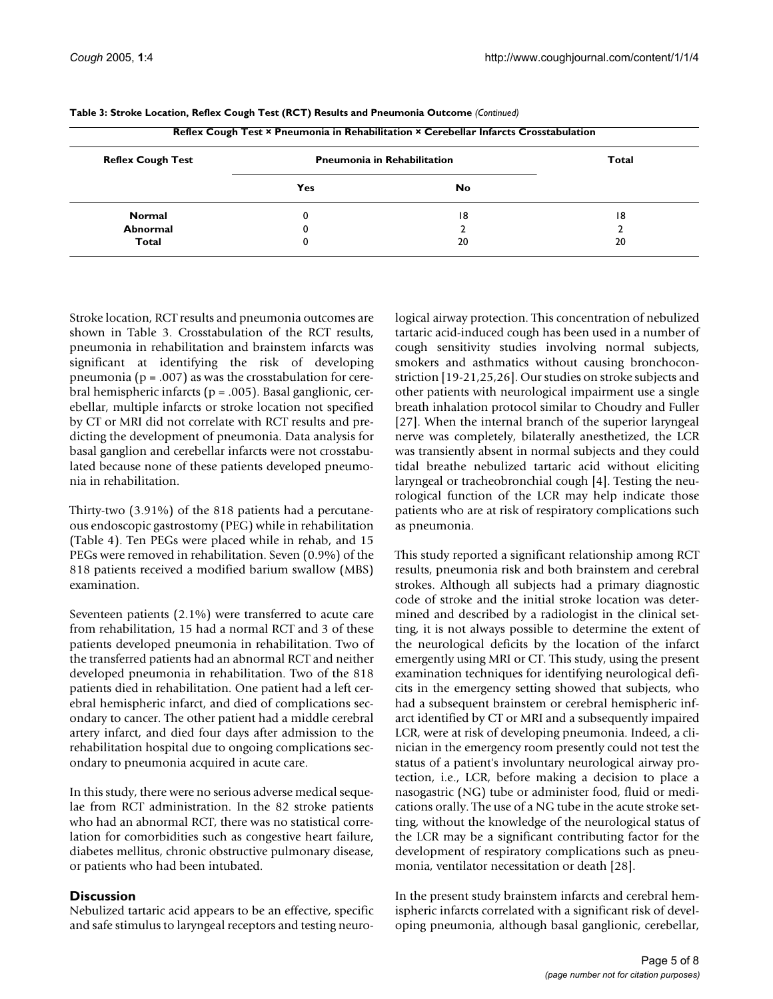| <b>Reflex Cough Test</b> | <b>Pneumonia in Rehabilitation</b> | Total |    |
|--------------------------|------------------------------------|-------|----|
|                          | Yes                                | No    |    |
| <b>Normal</b>            |                                    | 18    | 18 |
| Abnormal                 |                                    |       |    |
| Total                    |                                    | 20    | 20 |

**Table 3: Stroke Location, Reflex Cough Test (RCT) Results and Pneumonia Outcome** *(Continued)*

Stroke location, RCT results and pneumonia outcomes are shown in Table [3](#page-3-0). Crosstabulation of the RCT results, pneumonia in rehabilitation and brainstem infarcts was significant at identifying the risk of developing pneumonia ( $p = .007$ ) as was the crosstabulation for cerebral hemispheric infarcts (p = .005). Basal ganglionic, cerebellar, multiple infarcts or stroke location not specified by CT or MRI did not correlate with RCT results and predicting the development of pneumonia. Data analysis for basal ganglion and cerebellar infarcts were not crosstabulated because none of these patients developed pneumonia in rehabilitation.

Thirty-two (3.91%) of the 818 patients had a percutaneous endoscopic gastrostomy (PEG) while in rehabilitation (Table 4). Ten PEGs were placed while in rehab, and 15 PEGs were removed in rehabilitation. Seven (0.9%) of the 818 patients received a modified barium swallow (MBS) examination.

Seventeen patients (2.1%) were transferred to acute care from rehabilitation, 15 had a normal RCT and 3 of these patients developed pneumonia in rehabilitation. Two of the transferred patients had an abnormal RCT and neither developed pneumonia in rehabilitation. Two of the 818 patients died in rehabilitation. One patient had a left cerebral hemispheric infarct, and died of complications secondary to cancer. The other patient had a middle cerebral artery infarct, and died four days after admission to the rehabilitation hospital due to ongoing complications secondary to pneumonia acquired in acute care.

In this study, there were no serious adverse medical sequelae from RCT administration. In the 82 stroke patients who had an abnormal RCT, there was no statistical correlation for comorbidities such as congestive heart failure, diabetes mellitus, chronic obstructive pulmonary disease, or patients who had been intubated.

# **Discussion**

Nebulized tartaric acid appears to be an effective, specific and safe stimulus to laryngeal receptors and testing neurological airway protection. This concentration of nebulized tartaric acid-induced cough has been used in a number of cough sensitivity studies involving normal subjects, smokers and asthmatics without causing bronchoconstriction [19-21,25,26]. Our studies on stroke subjects and other patients with neurological impairment use a single breath inhalation protocol similar to Choudry and Fuller [27]. When the internal branch of the superior laryngeal nerve was completely, bilaterally anesthetized, the LCR was transiently absent in normal subjects and they could tidal breathe nebulized tartaric acid without eliciting laryngeal or tracheobronchial cough [4]. Testing the neurological function of the LCR may help indicate those patients who are at risk of respiratory complications such as pneumonia.

This study reported a significant relationship among RCT results, pneumonia risk and both brainstem and cerebral strokes. Although all subjects had a primary diagnostic code of stroke and the initial stroke location was determined and described by a radiologist in the clinical setting, it is not always possible to determine the extent of the neurological deficits by the location of the infarct emergently using MRI or CT. This study, using the present examination techniques for identifying neurological deficits in the emergency setting showed that subjects, who had a subsequent brainstem or cerebral hemispheric infarct identified by CT or MRI and a subsequently impaired LCR, were at risk of developing pneumonia. Indeed, a clinician in the emergency room presently could not test the status of a patient's involuntary neurological airway protection, i.e., LCR, before making a decision to place a nasogastric (NG) tube or administer food, fluid or medications orally. The use of a NG tube in the acute stroke setting, without the knowledge of the neurological status of the LCR may be a significant contributing factor for the development of respiratory complications such as pneumonia, ventilator necessitation or death [28].

In the present study brainstem infarcts and cerebral hemispheric infarcts correlated with a significant risk of developing pneumonia, although basal ganglionic, cerebellar,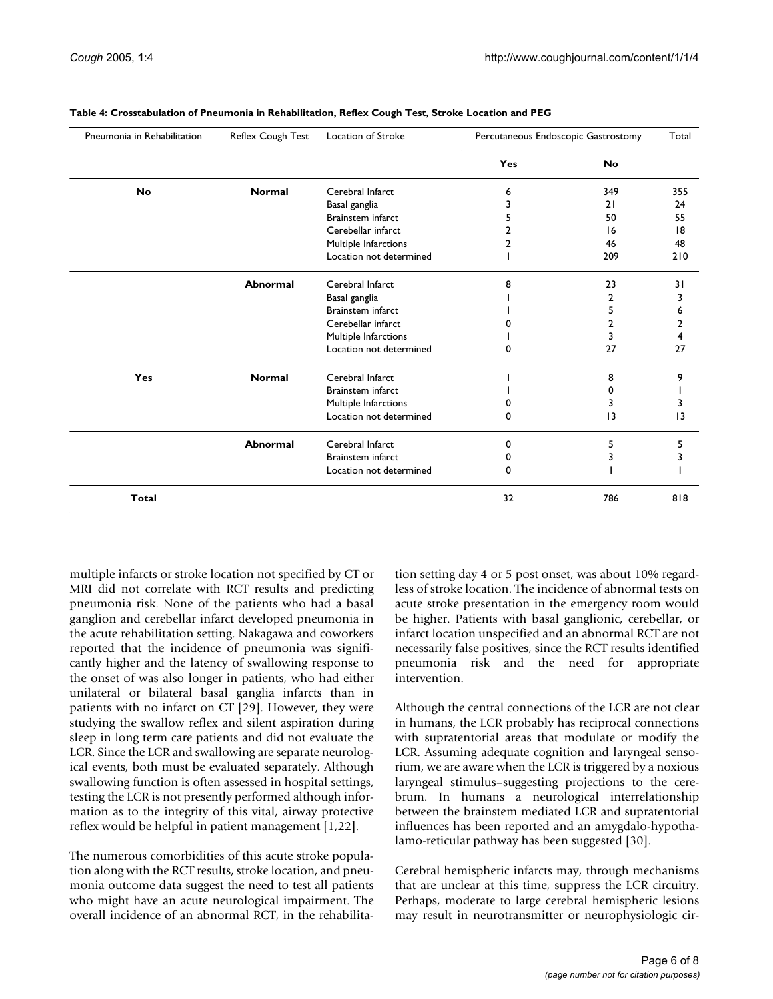| Pneumonia in Rehabilitation | Reflex Cough Test | Location of Stroke       | Percutaneous Endoscopic Gastrostomy | Total     |                 |
|-----------------------------|-------------------|--------------------------|-------------------------------------|-----------|-----------------|
|                             |                   |                          | Yes                                 | <b>No</b> |                 |
| <b>No</b>                   | <b>Normal</b>     | Cerebral Infarct         | 6                                   | 349       | 355             |
|                             |                   | Basal ganglia            |                                     | 21        | 24              |
|                             |                   | <b>Brainstem</b> infarct |                                     | 50        | 55              |
|                             |                   | Cerebellar infarct       | 2                                   | 16        | 18              |
|                             |                   | Multiple Infarctions     | 2                                   | 46        | 48              |
|                             |                   | Location not determined  |                                     | 209       | 210             |
|                             | Abnormal          | Cerebral Infarct         | 8                                   | 23        | 31              |
|                             |                   | Basal ganglia            |                                     | 2         | 3               |
|                             |                   | Brainstem infarct        |                                     | 5         | 6               |
|                             |                   | Cerebellar infarct       |                                     | 2         | 2               |
|                             |                   | Multiple Infarctions     |                                     | 3         | 4               |
|                             |                   | Location not determined  | 0                                   | 27        | 27              |
| Yes                         | <b>Normal</b>     | Cerebral Infarct         |                                     | 8         | 9               |
|                             |                   | Brainstem infarct        |                                     | 0         |                 |
|                             |                   | Multiple Infarctions     | o                                   | 3         | 3               |
|                             |                   | Location not determined  | 0                                   | 13        | $\overline{13}$ |
|                             | Abnormal          | Cerebral Infarct         | 0                                   | 5         | 5               |
|                             |                   | Brainstem infarct        | 0                                   | 3         | 3               |
|                             |                   | Location not determined  | $\Omega$                            |           |                 |
| <b>Total</b>                |                   |                          | 32                                  | 786       | 818             |

multiple infarcts or stroke location not specified by CT or MRI did not correlate with RCT results and predicting pneumonia risk. None of the patients who had a basal ganglion and cerebellar infarct developed pneumonia in the acute rehabilitation setting. Nakagawa and coworkers reported that the incidence of pneumonia was significantly higher and the latency of swallowing response to the onset of was also longer in patients, who had either unilateral or bilateral basal ganglia infarcts than in patients with no infarct on CT [29]. However, they were studying the swallow reflex and silent aspiration during sleep in long term care patients and did not evaluate the LCR. Since the LCR and swallowing are separate neurological events, both must be evaluated separately. Although swallowing function is often assessed in hospital settings, testing the LCR is not presently performed although information as to the integrity of this vital, airway protective reflex would be helpful in patient management [1,22].

The numerous comorbidities of this acute stroke population along with the RCT results, stroke location, and pneumonia outcome data suggest the need to test all patients who might have an acute neurological impairment. The overall incidence of an abnormal RCT, in the rehabilitation setting day 4 or 5 post onset, was about 10% regardless of stroke location. The incidence of abnormal tests on acute stroke presentation in the emergency room would be higher. Patients with basal ganglionic, cerebellar, or infarct location unspecified and an abnormal RCT are not necessarily false positives, since the RCT results identified pneumonia risk and the need for appropriate intervention.

Although the central connections of the LCR are not clear in humans, the LCR probably has reciprocal connections with supratentorial areas that modulate or modify the LCR. Assuming adequate cognition and laryngeal sensorium, we are aware when the LCR is triggered by a noxious laryngeal stimulus–suggesting projections to the cerebrum. In humans a neurological interrelationship between the brainstem mediated LCR and supratentorial influences has been reported and an amygdalo-hypothalamo-reticular pathway has been suggested [30].

Cerebral hemispheric infarcts may, through mechanisms that are unclear at this time, suppress the LCR circuitry. Perhaps, moderate to large cerebral hemispheric lesions may result in neurotransmitter or neurophysiologic cir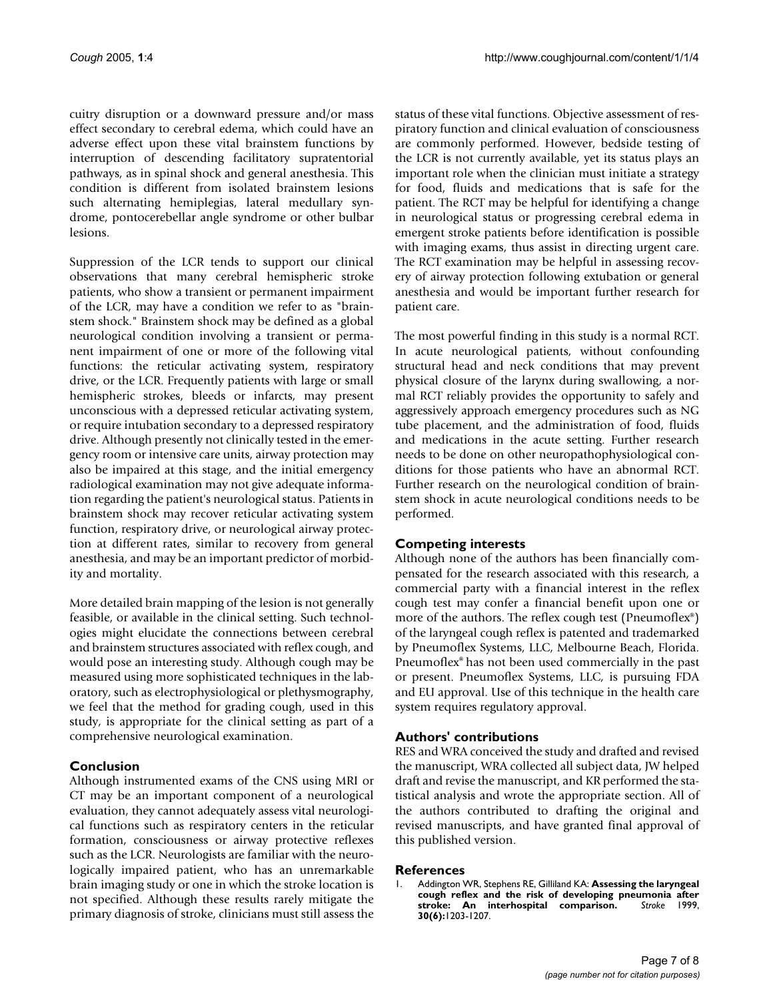cuitry disruption or a downward pressure and/or mass effect secondary to cerebral edema, which could have an adverse effect upon these vital brainstem functions by interruption of descending facilitatory supratentorial pathways, as in spinal shock and general anesthesia. This condition is different from isolated brainstem lesions such alternating hemiplegias, lateral medullary syndrome, pontocerebellar angle syndrome or other bulbar lesions.

Suppression of the LCR tends to support our clinical observations that many cerebral hemispheric stroke patients, who show a transient or permanent impairment of the LCR, may have a condition we refer to as "brainstem shock." Brainstem shock may be defined as a global neurological condition involving a transient or permanent impairment of one or more of the following vital functions: the reticular activating system, respiratory drive, or the LCR. Frequently patients with large or small hemispheric strokes, bleeds or infarcts, may present unconscious with a depressed reticular activating system, or require intubation secondary to a depressed respiratory drive. Although presently not clinically tested in the emergency room or intensive care units, airway protection may also be impaired at this stage, and the initial emergency radiological examination may not give adequate information regarding the patient's neurological status. Patients in brainstem shock may recover reticular activating system function, respiratory drive, or neurological airway protection at different rates, similar to recovery from general anesthesia, and may be an important predictor of morbidity and mortality.

More detailed brain mapping of the lesion is not generally feasible, or available in the clinical setting. Such technologies might elucidate the connections between cerebral and brainstem structures associated with reflex cough, and would pose an interesting study. Although cough may be measured using more sophisticated techniques in the laboratory, such as electrophysiological or plethysmography, we feel that the method for grading cough, used in this study, is appropriate for the clinical setting as part of a comprehensive neurological examination.

# **Conclusion**

Although instrumented exams of the CNS using MRI or CT may be an important component of a neurological evaluation, they cannot adequately assess vital neurological functions such as respiratory centers in the reticular formation, consciousness or airway protective reflexes such as the LCR. Neurologists are familiar with the neurologically impaired patient, who has an unremarkable brain imaging study or one in which the stroke location is not specified. Although these results rarely mitigate the primary diagnosis of stroke, clinicians must still assess the status of these vital functions. Objective assessment of respiratory function and clinical evaluation of consciousness are commonly performed. However, bedside testing of the LCR is not currently available, yet its status plays an important role when the clinician must initiate a strategy for food, fluids and medications that is safe for the patient. The RCT may be helpful for identifying a change in neurological status or progressing cerebral edema in emergent stroke patients before identification is possible with imaging exams, thus assist in directing urgent care. The RCT examination may be helpful in assessing recovery of airway protection following extubation or general anesthesia and would be important further research for patient care.

The most powerful finding in this study is a normal RCT. In acute neurological patients, without confounding structural head and neck conditions that may prevent physical closure of the larynx during swallowing, a normal RCT reliably provides the opportunity to safely and aggressively approach emergency procedures such as NG tube placement, and the administration of food, fluids and medications in the acute setting. Further research needs to be done on other neuropathophysiological conditions for those patients who have an abnormal RCT. Further research on the neurological condition of brainstem shock in acute neurological conditions needs to be performed.

#### **Competing interests**

Although none of the authors has been financially compensated for the research associated with this research, a commercial party with a financial interest in the reflex cough test may confer a financial benefit upon one or more of the authors. The reflex cough test (Pneumoflex®) of the laryngeal cough reflex is patented and trademarked by Pneumoflex Systems, LLC, Melbourne Beach, Florida. Pneumoflex® has not been used commercially in the past or present. Pneumoflex Systems, LLC, is pursuing FDA and EU approval. Use of this technique in the health care system requires regulatory approval.

#### **Authors' contributions**

RES and WRA conceived the study and drafted and revised the manuscript, WRA collected all subject data, JW helped draft and revise the manuscript, and KR performed the statistical analysis and wrote the appropriate section. All of the authors contributed to drafting the original and revised manuscripts, and have granted final approval of this published version.

#### **References**

1. Addington WR, Stephens RE, Gilliland KA: **[Assessing the laryngeal](http://www.ncbi.nlm.nih.gov/entrez/query.fcgi?cmd=Retrieve&db=PubMed&dopt=Abstract&list_uids=10356100) [cough reflex and the risk of developing pneumonia after](http://www.ncbi.nlm.nih.gov/entrez/query.fcgi?cmd=Retrieve&db=PubMed&dopt=Abstract&list_uids=10356100) [stroke: An interhospital comparison.](http://www.ncbi.nlm.nih.gov/entrez/query.fcgi?cmd=Retrieve&db=PubMed&dopt=Abstract&list_uids=10356100)** *Stroke* 1999, **30(6):**1203-1207.